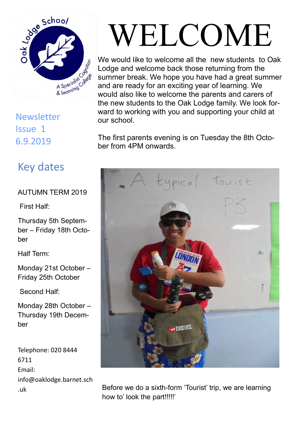

### Newsletter Issue 1 6.9.2019

## Key dates

#### AUTUMN TERM 2019

First Half:

Thursday 5th September – Friday 18th October

Half Term:

Monday 21st October – Friday 25th October

Second Half:

Monday 28th October – Thursday 19th December

Telephone: 020 8444 6711 Email: info@oaklodge.barnet.sch .uk

# WELCOME

We would like to welcome all the new students to Oak Lodge and welcome back those returning from the summer break. We hope you have had a great summer and are ready for an exciting year of learning. We would also like to welcome the parents and carers of the new students to the Oak Lodge family. We look forward to working with you and supporting your child at our school.

The first parents evening is on Tuesday the 8th October from 4PM onwards.



Before we do a sixth-form 'Tourist' trip, we are learning how to' look the part!!!!!'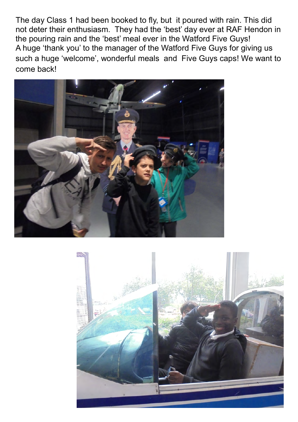The day Class 1 had been booked to fly, but it poured with rain. This did not deter their enthusiasm. They had the 'best' day ever at RAF Hendon in the pouring rain and the 'best' meal ever in the Watford Five Guys! A huge 'thank you' to the manager of the Watford Five Guys for giving us such a huge 'welcome', wonderful meals and Five Guys caps! We want to come back!



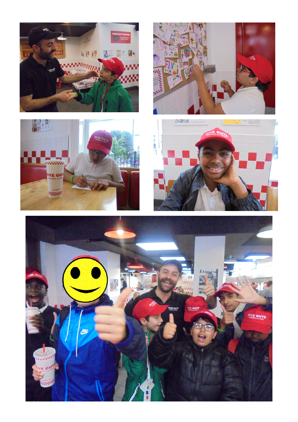